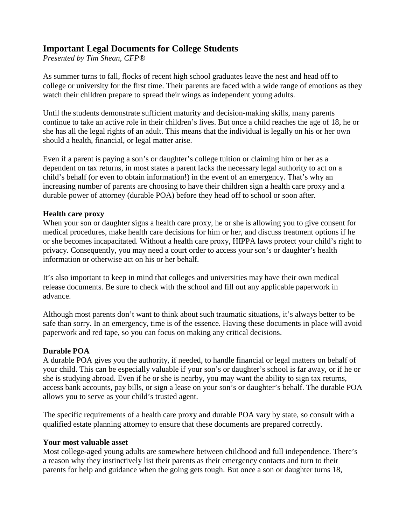## **Important Legal Documents for College Students**

*Presented by Tim Shean, CFP®*

As summer turns to fall, flocks of recent high school graduates leave the nest and head off to college or university for the first time. Their parents are faced with a wide range of emotions as they watch their children prepare to spread their wings as independent young adults.

Until the students demonstrate sufficient maturity and decision-making skills, many parents continue to take an active role in their children's lives. But once a child reaches the age of 18, he or she has all the legal rights of an adult. This means that the individual is legally on his or her own should a health, financial, or legal matter arise.

Even if a parent is paying a son's or daughter's college tuition or claiming him or her as a dependent on tax returns, in most states a parent lacks the necessary legal authority to act on a child's behalf (or even to obtain information!) in the event of an emergency. That's why an increasing number of parents are choosing to have their children sign a health care proxy and a durable power of attorney (durable POA) before they head off to school or soon after.

## **Health care proxy**

When your son or daughter signs a health care proxy, he or she is allowing you to give consent for medical procedures, make health care decisions for him or her, and discuss treatment options if he or she becomes incapacitated. Without a health care proxy, HIPPA laws protect your child's right to privacy. Consequently, you may need a court order to access your son's or daughter's health information or otherwise act on his or her behalf.

It's also important to keep in mind that colleges and universities may have their own medical release documents. Be sure to check with the school and fill out any applicable paperwork in advance.

Although most parents don't want to think about such traumatic situations, it's always better to be safe than sorry. In an emergency, time is of the essence. Having these documents in place will avoid paperwork and red tape, so you can focus on making any critical decisions.

## **Durable POA**

A durable POA gives you the authority, if needed, to handle financial or legal matters on behalf of your child. This can be especially valuable if your son's or daughter's school is far away, or if he or she is studying abroad. Even if he or she is nearby, you may want the ability to sign tax returns, access bank accounts, pay bills, or sign a lease on your son's or daughter's behalf. The durable POA allows you to serve as your child's trusted agent.

The specific requirements of a health care proxy and durable POA vary by state, so consult with a qualified estate planning attorney to ensure that these documents are prepared correctly.

## **Your most valuable asset**

Most college-aged young adults are somewhere between childhood and full independence. There's a reason why they instinctively list their parents as their emergency contacts and turn to their parents for help and guidance when the going gets tough. But once a son or daughter turns 18,